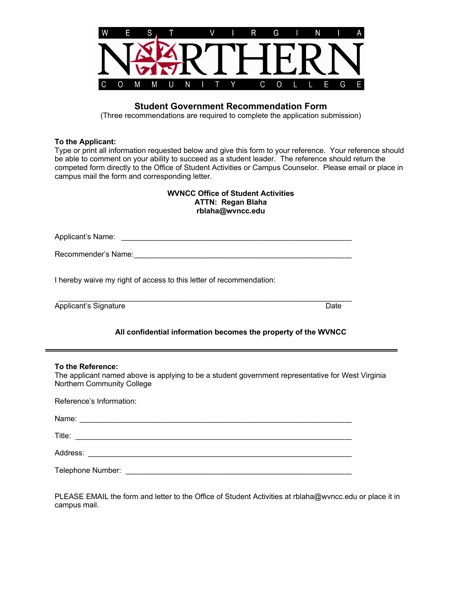

## **Student Government Recommendation Form**

(Three recommendations are required to complete the application submission)

## **To the Applicant:**

Type or print all information requested below and give this form to your reference. Your reference should be able to comment on your ability to succeed as a student leader. The reference should return the competed form directly to the Office of Student Activities or Campus Counselor. Please email or place in campus mail the form and corresponding letter.

| <b>WVNCC Office of Student Activities</b> |  |  |  |  |  |
|-------------------------------------------|--|--|--|--|--|
| <b>ATTN: Regan Blaha</b>                  |  |  |  |  |  |
| rblaha@wvncc.edu                          |  |  |  |  |  |

Applicant's Name: \_\_\_\_\_\_\_\_\_\_\_\_\_\_\_\_\_\_\_\_\_\_\_\_\_\_\_\_\_\_\_\_\_\_\_\_\_\_\_\_\_\_\_\_\_\_\_\_\_\_\_\_\_\_\_

Recommender's Name:\_\_\_\_\_\_\_\_\_\_\_\_\_\_\_\_\_\_\_\_\_\_\_\_\_\_\_\_\_\_\_\_\_\_\_\_\_\_\_\_\_\_\_\_\_\_\_\_\_\_\_\_

I hereby waive my right of access to this letter of recommendation:

Applicant's Signature Date

\_\_\_\_\_\_\_\_\_\_\_\_\_\_\_\_\_\_\_\_\_\_\_\_\_\_\_\_\_\_\_\_\_\_\_\_\_\_\_\_\_\_\_\_\_\_\_\_\_\_\_\_\_\_\_\_\_\_\_\_\_\_\_\_\_\_\_\_\_\_

## **All confidential information becomes the property of the WVNCC**

## **To the Reference:**

The applicant named above is applying to be a student government representative for West Virginia Northern Community College

Reference's Information:

| Name:             | <u> 1980 - Jan Barnett, fransk politiker og det forskellige og det forskellige og det forskellige og det forskellige og det forskellige og det forskellige og det forskellige og det forskellige og det forskellige og det forsk</u> |  |  |
|-------------------|--------------------------------------------------------------------------------------------------------------------------------------------------------------------------------------------------------------------------------------|--|--|
| Title:            |                                                                                                                                                                                                                                      |  |  |
|                   |                                                                                                                                                                                                                                      |  |  |
| Telephone Number: |                                                                                                                                                                                                                                      |  |  |

PLEASE EMAIL the form and letter to the Office of Student Activities at rblaha@wvncc.edu or place it in campus mail.